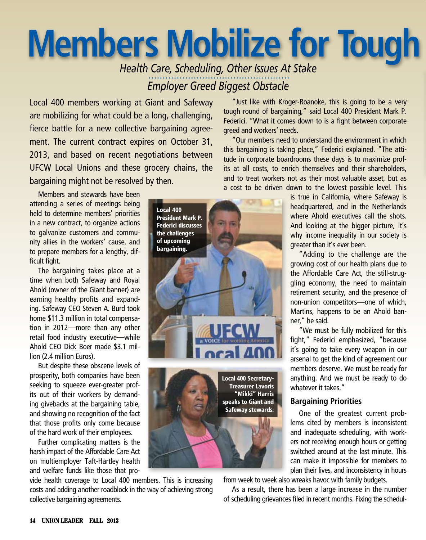## **Members Mobilize for Tough**

Health Care, Scheduling, Other Issues At Stake **Employer Greed Biggest Obstacle** 

Local 400 members working at Giant and Safeway are mobilizing for what could be a long, challenging, fierce battle for a new collective bargaining agreement. The current contract expires on October 31, 2013, and based on recent negotiations between UFCW Local Unions and these grocery chains, the bargaining might not be resolved by then.

Members and stewards have been attending a series of meetings being held to determine members' priorities in a new contract, to organize actions to galvanize customers and community allies in the workers' cause, and to prepare members for a lengthy, difficult fight.

The bargaining takes place at a time when both Safeway and Royal Ahold (owner of the Giant banner) are earning healthy profits and expanding. Safeway CEO Steven A. Burd took home \$11.3 million in total compensation in 2012-more than any other retail food industry executive-while Ahold CEO Dick Boer made \$3.1 million (2.4 million Euros).

But despite these obscene levels of prosperity, both companies have been seeking to squeeze ever-greater profits out of their workers by demanding givebacks at the bargaining table, and showing no recognition of the fact that those profits only come because of the hard work of their employees.

Further complicating matters is the harsh impact of the Affordable Care Act on multiemployer Taft-Hartley health and welfare funds like those that pro-

vide health coverage to Local 400 members. This is increasing costs and adding another roadblock in the way of achieving strong collective bargaining agreements.

"Just like with Kroger-Roanoke, this is going to be a very tough round of bargaining," said Local 400 President Mark P. Federici. "What it comes down to is a fight between corporate greed and workers' needs.

"Our members need to understand the environment in which this bargaining is taking place," Federici explained. "The attitude in corporate boardrooms these days is to maximize profits at all costs, to enrich themselves and their shareholders. and to treat workers not as their most valuable asset, but as a cost to be driven down to the lowest possible level. This

> is true in California, where Safeway is headquartered, and in the Netherlands where Ahold executives call the shots. And looking at the bigger picture, it's why income inequality in our society is greater than it's ever been.

"Adding to the challenge are the growing cost of our health plans due to the Affordable Care Act, the still-struggling economy, the need to maintain retirement security, and the presence of non-union competitors-one of which, Martins, happens to be an Ahold banner," he said.

"We must be fully mobilized for this fight," Federici emphasized, "because it's going to take every weapon in our arsenal to get the kind of agreement our members deserve. We must be ready for anything. And we must be ready to do whatever it takes."

## **Bargaining Priorities**

One of the greatest current problems cited by members is inconsistent and inadequate scheduling, with workers not receiving enough hours or getting switched around at the last minute. This can make it impossible for members to plan their lives, and inconsistency in hours

from week to week also wreaks havoc with family budgets.

As a result, there has been a large increase in the number of scheduling grievances filed in recent months. Fixing the schedul-